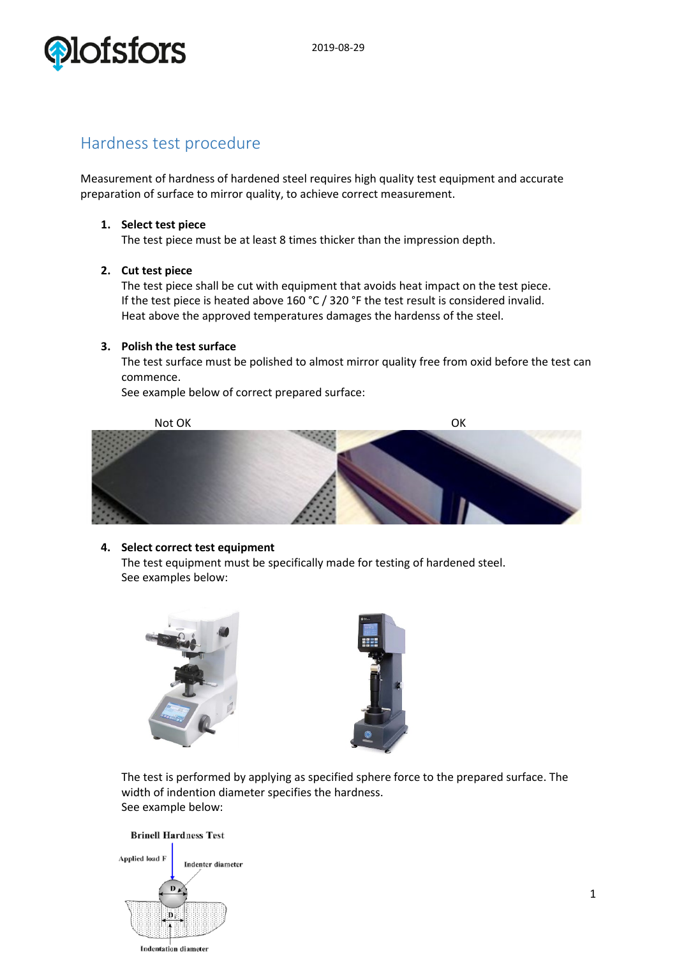

## Hardness test procedure

Measurement of hardness of hardened steel requires high quality test equipment and accurate preparation of surface to mirror quality, to achieve correct measurement.

#### **1. Select test piece**

The test piece must be at least 8 times thicker than the impression depth.

### **2. Cut test piece**

The test piece shall be cut with equipment that avoids heat impact on the test piece. If the test piece is heated above 160 °C / 320 °F the test result is considered invalid. Heat above the approved temperatures damages the hardenss of the steel.

#### **3. Polish the test surface**

The test surface must be polished to almost mirror quality free from oxid before the test can commence.

See example below of correct prepared surface:



#### **4. Select correct test equipment**

The test equipment must be specifically made for testing of hardened steel. See examples below:





The test is performed by applying as specified sphere force to the prepared surface. The width of indention diameter specifies the hardness. See example below:

## **Brinell Hardness Test**

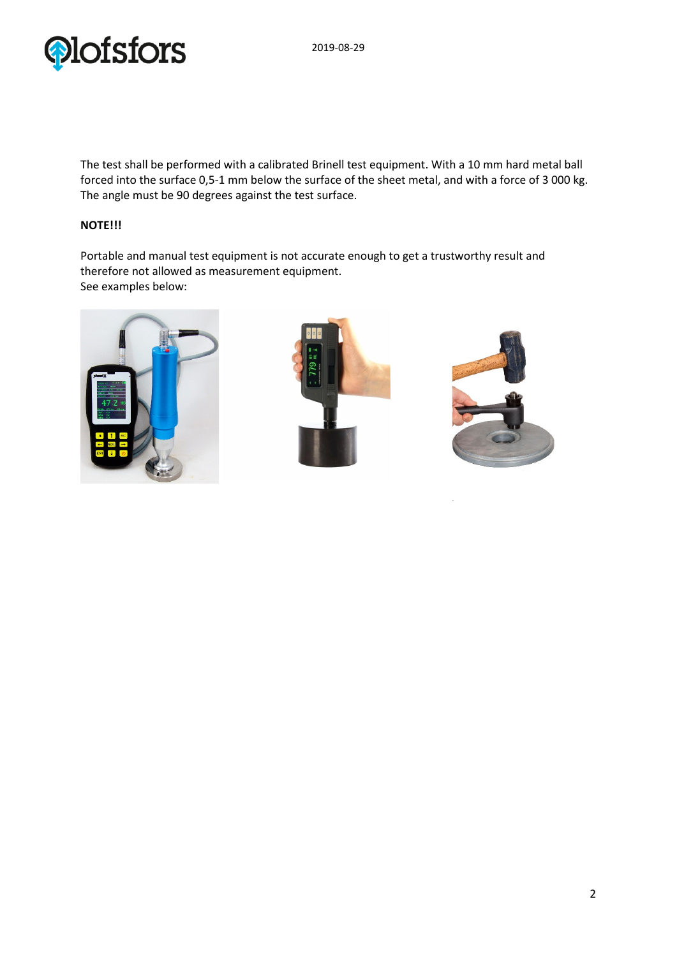

The test shall be performed with a calibrated Brinell test equipment. With a 10 mm hard metal ball forced into the surface 0,5-1 mm below the surface of the sheet metal, and with a force of 3 000 kg. The angle must be 90 degrees against the test surface.

## **NOTE!!!**

Portable and manual test equipment is not accurate enough to get a trustworthy result and therefore not allowed as measurement equipment. See examples below: